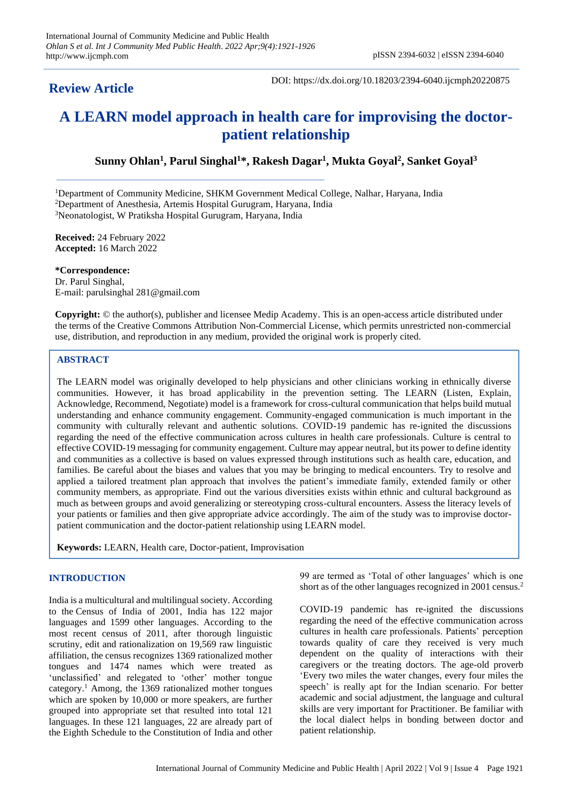# **Review Article**

DOI: https://dx.doi.org/10.18203/2394-6040.ijcmph20220875

# **A LEARN model approach in health care for improvising the doctorpatient relationship**

**Sunny Ohlan<sup>1</sup> , Parul Singhal<sup>1</sup>\*, Rakesh Dagar<sup>1</sup> , Mukta Goyal<sup>2</sup> , Sanket Goyal<sup>3</sup>**

<sup>1</sup>Department of Community Medicine, SHKM Government Medical College, Nalhar, Haryana, India

<sup>2</sup>Department of Anesthesia, Artemis Hospital Gurugram, Haryana, India

<sup>3</sup>Neonatologist, W Pratiksha Hospital Gurugram, Haryana, India

**Received:** 24 February 2022 **Accepted:** 16 March 2022

**\*Correspondence:**

Dr. Parul Singhal, E-mail: parulsinghal 281@gmail.com

**Copyright:** © the author(s), publisher and licensee Medip Academy. This is an open-access article distributed under the terms of the Creative Commons Attribution Non-Commercial License, which permits unrestricted non-commercial use, distribution, and reproduction in any medium, provided the original work is properly cited.

#### **ABSTRACT**

The LEARN model was originally developed to help physicians and other clinicians working in ethnically diverse communities. However, it has broad applicability in the prevention setting. The LEARN (Listen, Explain, Acknowledge, Recommend, Negotiate) model is a framework for cross-cultural communication that helps build mutual understanding and enhance community engagement. Community-engaged communication is much important in the community with culturally relevant and authentic solutions. COVID-19 pandemic has re-ignited the discussions regarding the need of the effective communication across cultures in health care professionals. Culture is central to effective COVID-19 messaging for community engagement. Culture may appear neutral, but its power to define identity and communities as a collective is based on values expressed through institutions such as health care, education, and families. Be careful about the biases and values that you may be bringing to medical encounters. Try to resolve and applied a tailored treatment plan approach that involves the patient's immediate family, extended family or other community members, as appropriate. Find out the various diversities exists within ethnic and cultural background as much as between groups and avoid generalizing or stereotyping cross-cultural encounters. Assess the literacy levels of your patients or families and then give appropriate advice accordingly. The aim of the study was to improvise doctorpatient communication and the doctor-patient relationship using LEARN model.

**Keywords:** LEARN, Health care, Doctor-patient, Improvisation

## **INTRODUCTION**

India is a multicultural and multilingual society. According to the [Census of India of 2001,](https://en.wikipedia.org/wiki/Census_of_India_2001) India has 122 major languages and 1599 other languages. According to the most recent census of 2011, after thorough linguistic scrutiny, edit and rationalization on 19,569 raw linguistic affiliation, the census recognizes 1369 rationalized mother tongues and 1474 names which were treated as 'unclassified' and relegated to 'other' mother tongue category.<sup>1</sup> Among, the 1369 rationalized mother tongues which are spoken by 10,000 or more speakers, are further grouped into appropriate set that resulted into total 121 languages. In these 121 languages, 22 are already part of the [Eighth Schedule to the Constitution of India](https://en.wikipedia.org/wiki/Eighth_Schedule_to_the_Constitution_of_India) and other 99 are termed as 'Total of other languages' which is one short as of the other languages recognized in 2001 census.<sup>2</sup>

COVID-19 pandemic has re-ignited the discussions regarding the need of the effective communication across cultures in health care professionals. Patients' perception towards quality of care they received is very much dependent on the quality of interactions with their caregivers or the treating doctors. The age-old proverb 'Every two miles the water changes, every four miles the speech' is really apt for the Indian scenario. For better academic and social adjustment, the language and cultural skills are very important for Practitioner. Be familiar with the local dialect helps in bonding between doctor and patient relationship.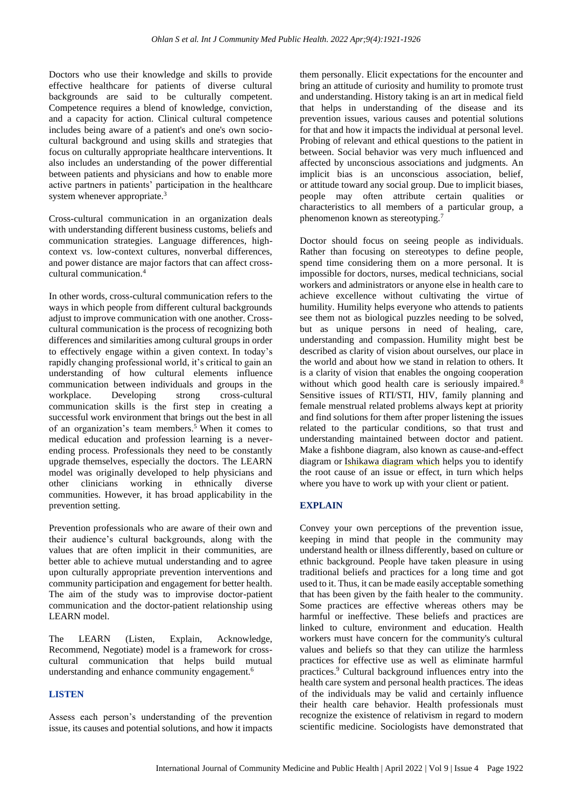Doctors who use their knowledge and skills to provide effective healthcare for patients of diverse cultural backgrounds are said to be culturally competent. Competence requires a blend of knowledge, conviction, and a capacity for action. Clinical cultural competence includes being aware of a patient's and one's own sociocultural background and using skills and strategies that focus on culturally appropriate healthcare interventions. It also includes an understanding of the power differential between patients and physicians and how to enable more active partners in patients' participation in the healthcare system whenever appropriate. $3$ 

Cross-cultural communication in an organization deals with understanding different business customs, beliefs and communication strategies. Language differences, highcontext vs. low-context cultures, nonverbal differences, and power distance are major factors that can affect crosscultural communication.<sup>4</sup>

In other words, cross-cultural communication refers to the ways in which people from different cultural backgrounds adjust to improve communication with one another. Crosscultural communication is the process of recognizing both differences and similarities among cultural groups in order to effectively engage within a given context. In today's rapidly changing professional world, it's critical to gain an understanding of how cultural elements influence communication between individuals and groups in the workplace. Developing strong cross-cultural communication skills is the first step in creating a successful work environment that brings out the best in all of an organization's team members.<sup>5</sup> When it comes to medical education and profession learning is a neverending process. Professionals they need to be constantly upgrade themselves, especially the doctors. The LEARN model was originally developed to help physicians and other clinicians working in ethnically diverse communities. However, it has broad applicability in the prevention setting.

Prevention professionals who are aware of their own and their audience's cultural backgrounds, along with the values that are often implicit in their communities, are better able to achieve mutual understanding and to agree upon culturally appropriate prevention interventions and community participation and engagement for better health. The aim of the study was to improvise doctor-patient communication and the doctor-patient relationship using LEARN model.

The LEARN (Listen, Explain, Acknowledge, Recommend, Negotiate) model is a framework for crosscultural communication that helps build mutual understanding and enhance community engagement.<sup>6</sup>

#### **LISTEN**

Assess each person's understanding of the prevention issue, its causes and potential solutions, and how it impacts

them personally. Elicit expectations for the encounter and bring an attitude of curiosity and humility to promote trust and understanding. History taking is an art in medical field that helps in understanding of the disease and its prevention issues, various causes and potential solutions for that and how it impacts the individual at personal level. Probing of relevant and ethical questions to the patient in between. Social behavior was very much influenced and affected by unconscious associations and judgments. An implicit bias is an unconscious association, belief, or [attitude](https://www.verywellmind.com/attitudes-how-they-form-change-shape-behavior-2795897) toward any social group. Due to implicit biases, people may often attribute certain qualities or characteristics to all members of a particular group, a phenomenon known as stereotyping.<sup>7</sup>

Doctor should focus on seeing people as individuals. Rather than focusing on stereotypes to define people, spend time considering them on a more personal. It is impossible for doctors, nurses, medical technicians, social workers and administrators or anyone else in health care to achieve excellence without cultivating the virtue of humility. Humility helps everyone who attends to patients see them not as biological puzzles needing to be solved, but as unique persons in need of healing, care, understanding and compassion. Humility might best be described as clarity of vision about ourselves, our place in the world and about how we stand in relation to others. It is a clarity of vision that enables the ongoing cooperation without which good health care is seriously impaired.<sup>8</sup> Sensitive issues of RTI/STI, HIV, family planning and female menstrual related problems always kept at priority and find solutions for them after proper listening the issues related to the particular conditions, so that trust and understanding maintained between doctor and patient. Make a fishbone diagram, also known as cause-and-effect diagram or [Ishikawa diagram](https://creately.com/lp/fishbone-diagram-maker-online/) which helps you to identify the root cause of an issue or effect, in turn which helps where you have to work up with your client or patient.

## **EXPLAIN**

Convey your own perceptions of the prevention issue, keeping in mind that people in the community may understand health or illness differently, based on culture or ethnic background. People have taken pleasure in using traditional beliefs and practices for a long time and got used to it. Thus, it can be made easily acceptable something that has been given by the faith healer to the community. Some practices are effective whereas others may be harmful or ineffective. These beliefs and practices are linked to culture, environment and education. Health workers must have concern for the community's cultural values and beliefs so that they can utilize the harmless practices for effective use as well as eliminate harmful practices.<sup>9</sup> Cultural background influences entry into the health care system and personal health practices. The ideas of the individuals may be valid and certainly influence their health care behavior. Health professionals must recognize the existence of relativism in regard to modern scientific medicine. Sociologists have demonstrated that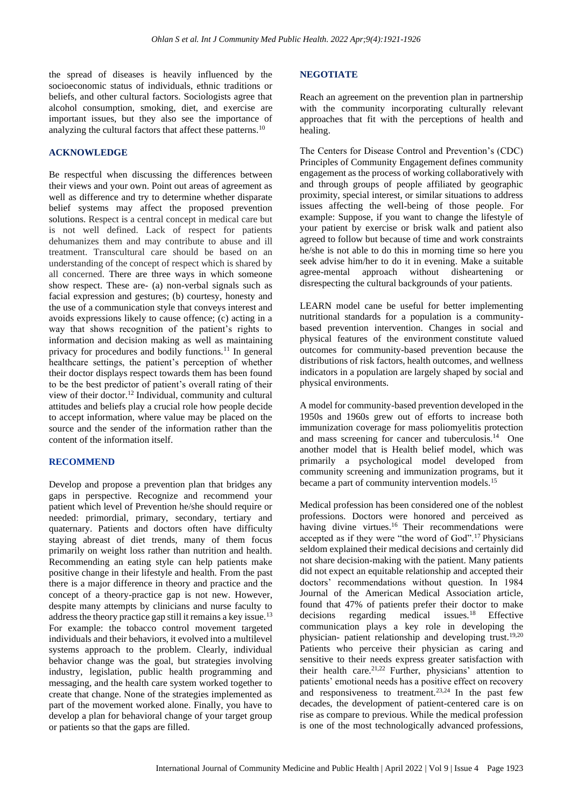the spread of diseases is heavily influenced by the socioeconomic status of individuals, ethnic traditions or beliefs, and other cultural factors. Sociologists agree that alcohol consumption, smoking, diet, and exercise are important issues, but they also see the importance of analyzing the cultural factors that affect these patterns.<sup>10</sup>

#### **ACKNOWLEDGE**

Be respectful when discussing the differences between their views and your own. Point out areas of agreement as well as difference and try to determine whether disparate belief systems may affect the proposed prevention solutions. Respect is a central concept in medical care but is not well defined. Lack of respect for patients dehumanizes them and may contribute to abuse and ill treatment. Transcultural care should be based on an understanding of the concept of respect which is shared by all concerned. There are three ways in which someone show respect. These are- (a) non-verbal signals such as facial expression and gestures; (b) courtesy, honesty and the use of a communication style that conveys interest and avoids expressions likely to cause offence; (c) acting in a way that shows recognition of the patient's rights to information and decision making as well as maintaining privacy for procedures and bodily functions.<sup>11</sup> In general healthcare settings, the patient's perception of whether their doctor displays respect towards them has been found to be the best predictor of patient's overall rating of their view of their doctor.<sup>12</sup> Individual, community and cultural attitudes and beliefs play a crucial role how people decide to accept information, where value may be placed on the source and the sender of the information rather than the content of the information itself.

#### **RECOMMEND**

Develop and propose a prevention plan that bridges any gaps in perspective. Recognize and recommend your patient which level of Prevention he/she should require or needed: primordial, primary, secondary, tertiary and quaternary. Patients and doctors often have difficulty staying abreast of diet trends, many of them focus primarily on weight loss rather than nutrition and health. Recommending an eating style can help patients make positive change in their lifestyle and health. From the past there is a major difference in theory and practice and the concept of a theory-practice gap is not new. However, despite many attempts by clinicians and nurse faculty to address the theory practice gap still it remains a key issue.<sup>13</sup> For example: the tobacco control movement targeted individuals and their behaviors, it evolved into a multilevel systems approach to the problem. Clearly, individual behavior change was the goal, but strategies involving industry, legislation, public health programming and messaging, and the health care system worked together to create that change. None of the strategies implemented as part of the movement worked alone. Finally, you have to develop a plan for behavioral change of your target group or patients so that the gaps are filled.

#### **NEGOTIATE**

Reach an agreement on the prevention plan in partnership with the community incorporating culturally relevant approaches that fit with the perceptions of health and healing.

The Centers for Disease Control and Prevention's (CDC) Principles of Community Engagement defines community engagement as the process of working collaboratively with and through groups of people affiliated by geographic proximity, special interest, or similar situations to address issues affecting the well-being of those people. For example: Suppose, if you want to change the lifestyle of your patient by exercise or brisk walk and patient also agreed to follow but because of time and work constraints he/she is not able to do this in morning time so here you seek advise him/her to do it in evening. Make a suitable agree-mental approach without disheartening or disrespecting the cultural backgrounds of your patients.

LEARN model cane be useful for better implementing nutritional standards for a population is a communitybased prevention intervention. Changes in social and physical features of the environment constitute valued outcomes for community-based prevention because the distributions of risk factors, health outcomes, and wellness indicators in a population are largely shaped by social and physical environments.

A model for community-based prevention developed in the 1950s and 1960s grew out of efforts to increase both immunization coverage for mass poliomyelitis protection and mass screening for cancer and tuberculosis. $14$  One another model that is Health belief model, which was primarily a psychological model developed from community screening and immunization programs, but it became a part of community intervention models.<sup>15</sup>

Medical profession has been considered one of the noblest professions. Doctors were honored and perceived as having divine virtues.<sup>16</sup> Their recommendations were accepted as if they were "the word of God".<sup>17</sup> Physicians seldom explained their medical decisions and certainly did not share decision-making with the patient. Many patients did not expect an equitable relationship and accepted their doctors' recommendations without question. In 1984 Journal of the American Medical Association article, found that 47% of patients prefer their doctor to make decisions regarding medical issues. $18$  Effective communication plays a key role in developing the physician- patient relationship and developing trust.19,20 Patients who perceive their physician as caring and sensitive to their needs express greater satisfaction with their health care.21,22 Further, physicians' attention to patients' emotional needs has a positive effect on recovery and responsiveness to treatment.<sup>23,24</sup> In the past few decades, the development of patient-centered care is on rise as compare to previous. While the medical profession is one of the most technologically advanced professions,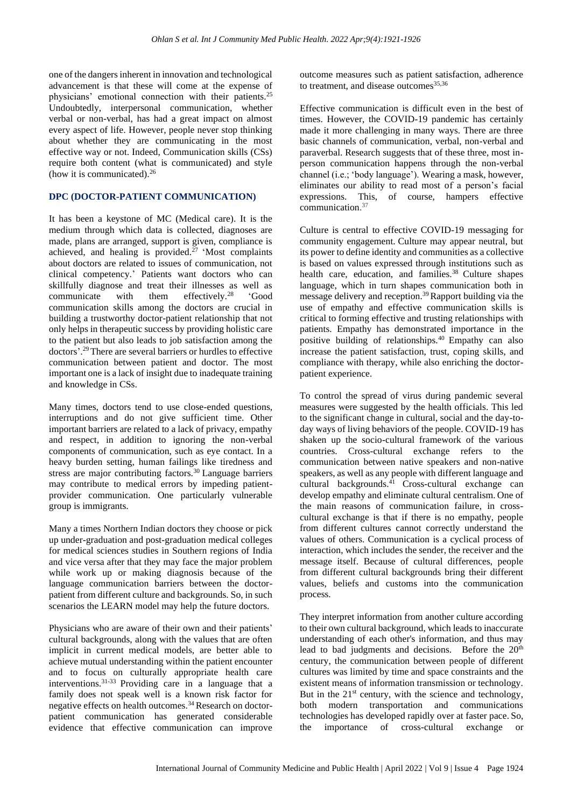one of the dangers inherent in innovation and technological advancement is that these will come at the expense of physicians' emotional connection with their patients.<sup>25</sup> Undoubtedly, interpersonal communication, whether verbal or non-verbal, has had a great impact on almost every aspect of life. However, people never stop thinking about whether they are communicating in the most effective way or not. Indeed, Communication skills (CSs) require both content (what is communicated) and style (how it is communicated).<sup>26</sup>

## **DPC (DOCTOR-PATIENT COMMUNICATION)**

It has been a keystone of MC (Medical care). It is the medium through which data is collected, diagnoses are made, plans are arranged, support is given, compliance is achieved, and healing is provided.<sup>27</sup> 'Most complaints about doctors are related to issues of communication, not clinical competency.' Patients want doctors who can skillfully diagnose and treat their illnesses as well as communicate with them effectively.<sup>28</sup> 'Good communication skills among the doctors are crucial in building a trustworthy doctor-patient relationship that not only helps in therapeutic success by providing holistic care to the patient but also leads to job satisfaction among the doctors'. <sup>29</sup>There are several barriers or hurdles to effective communication between patient and doctor. The most important one is a lack of insight due to inadequate training and knowledge in CSs.

Many times, doctors tend to use close-ended questions, interruptions and do not give sufficient time. Other important barriers are related to a lack of privacy, empathy and respect, in addition to ignoring the non-verbal components of communication, such as eye contact. In a heavy burden setting, human failings like tiredness and stress are major contributing factors.<sup>30</sup> Language barriers may contribute to medical errors by impeding patientprovider communication. One particularly vulnerable group is immigrants.

Many a times Northern Indian doctors they choose or pick up under-graduation and post-graduation medical colleges for medical sciences studies in Southern regions of India and vice versa after that they may face the major problem while work up or making diagnosis because of the language communication barriers between the doctorpatient from different culture and backgrounds. So, in such scenarios the LEARN model may help the future doctors.

Physicians who are aware of their own and their patients' cultural backgrounds, along with the values that are often implicit in current medical models, are better able to achieve mutual understanding within the patient encounter and to focus on culturally appropriate health care interventions.31-33 Providing care in a language that a family does not speak well is a known risk factor for negative effects on health outcomes.<sup>34</sup> Research on doctorpatient communication has generated considerable evidence that effective communication can improve

outcome measures such as patient satisfaction, adherence to treatment, and disease outcomes  $35,36$ 

Effective communication is difficult even in the best of times. However, the COVID-19 pandemic has certainly made it more challenging in many ways. There are three basic channels of communication, verbal, non-verbal and paraverbal. Research suggests that of these three, most inperson communication happens through the non-verbal channel (i.e.; 'body language'). Wearing a mask, however, eliminates our ability to read most of a person's facial expressions. This, of course, hampers effective communication. 37

Culture is central to effective COVID-19 messaging for community engagement. Culture may appear neutral, but its power to define identity and communities as a collective is based on values expressed through institutions such as health care, education, and families.<sup>38</sup> Culture shapes language, which in turn shapes communication both in message delivery and reception.<sup>39</sup>Rapport building via the use of empathy and effective communication skills is critical to forming effective and trusting relationships with patients. Empathy has demonstrated importance in the positive building of relationships.<sup>40</sup> Empathy can also increase the patient satisfaction, trust, coping skills, and compliance with therapy, while also enriching the doctorpatient experience.

To control the spread of virus during pandemic several measures were suggested by the health officials. This led to the significant change in cultural, social and the day-today ways of living behaviors of the people. COVID-19 has shaken up the socio-cultural framework of the various countries. Cross-cultural exchange refers to the communication between native speakers and non-native speakers, as well as any people with different language and cultural backgrounds.<sup>41</sup> Cross-cultural exchange can develop empathy and eliminate cultural centralism. One of the main reasons of communication failure, in crosscultural exchange is that if there is no empathy, people from different cultures cannot correctly understand the values of others. Communication is a cyclical process of interaction, which includes the sender, the receiver and the message itself. Because of cultural differences, people from different cultural backgrounds bring their different values, beliefs and customs into the communication process.

They interpret information from another culture according to their own cultural background, which leads to inaccurate understanding of each other's information, and thus may lead to bad judgments and decisions. Before the 20<sup>th</sup> century, the communication between people of different cultures was limited by time and space constraints and the existent means of information transmission or technology. But in the  $21<sup>st</sup>$  century, with the science and technology, both modern transportation and communications technologies has developed rapidly over at faster pace. So, the importance of cross-cultural exchange or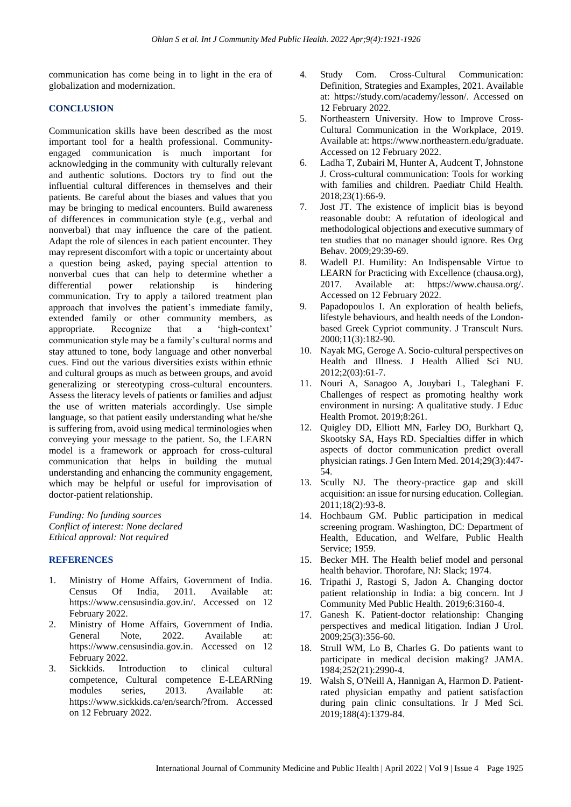communication has come being in to light in the era of globalization and modernization.

#### **CONCLUSION**

Communication skills have been described as the most important tool for a health professional. Communityengaged communication is much important for acknowledging in the community with culturally relevant and authentic solutions. Doctors try to find out the influential cultural differences in themselves and their patients. Be careful about the biases and values that you may be bringing to medical encounters. Build awareness of differences in communication style (e.g., verbal and nonverbal) that may influence the care of the patient. Adapt the role of silences in each patient encounter. They may represent discomfort with a topic or uncertainty about a question being asked, paying special attention to nonverbal cues that can help to determine whether a differential power relationship is hindering communication. Try to apply a tailored treatment plan approach that involves the patient's immediate family, extended family or other community members, as appropriate. Recognize that a 'high-context' communication style may be a family's cultural norms and stay attuned to tone, body language and other nonverbal cues. Find out the various diversities exists within ethnic and cultural groups as much as between groups, and avoid generalizing or stereotyping cross-cultural encounters. Assess the literacy levels of patients or families and adjust the use of written materials accordingly. Use simple language, so that patient easily understanding what he/she is suffering from, avoid using medical terminologies when conveying your message to the patient. So, the LEARN model is a framework or approach for cross-cultural communication that helps in building the mutual understanding and enhancing the community engagement, which may be helpful or useful for improvisation of doctor-patient relationship.

*Funding: No funding sources Conflict of interest: None declared Ethical approval: Not required*

## **REFERENCES**

- 1. Ministry of Home Affairs, Government of India. Census Of India, 2011. Available at: https://www.censusindia.gov.in/. Accessed on 12 February 2022.
- 2. Ministry of Home Affairs, Government of India. General Note, 2022. Available at: https://www.censusindia.gov.in. Accessed on 12 February 2022.
- 3. Sickkids. Introduction to clinical cultural competence, Cultural competence E-LEARNing modules series, 2013. Available at: https://www.sickkids.ca/en/search/?from. Accessed on 12 February 2022.
- 4. Study Com. Cross-Cultural Communication: Definition, Strategies and Examples, 2021. Available at: https://study.com/academy/lesson/. Accessed on 12 February 2022.
- 5. Northeastern University. How to Improve Cross-Cultural Communication in the Workplace, 2019. Available at: https://www.northeastern.edu/graduate. Accessed on 12 February 2022.
- 6. Ladha T, Zubairi M, Hunter A, Audcent T, Johnstone J. Cross-cultural communication: Tools for working with families and children. Paediatr Child Health. 2018;23(1):66-9.
- 7. Jost JT. The existence of implicit bias is beyond reasonable doubt: A refutation of ideological and methodological objections and executive summary of ten studies that no manager should ignore. Res Org Behav. 2009;29:39-69.
- 8. Wadell PJ. Humility: An Indispensable Virtue to LEARN for Practicing with Excellence (chausa.org), 2017. Available at: https://www.chausa.org/. Accessed on 12 February 2022.
- 9. Papadopoulos I. An exploration of health beliefs, lifestyle behaviours, and health needs of the Londonbased Greek Cypriot community. J Transcult Nurs. 2000;11(3):182-90.
- 10. Nayak MG, Geroge A. Socio-cultural perspectives on Health and Illness. J Health Allied Sci NU. 2012;2(03):61-7.
- 11. Nouri A, Sanagoo A, Jouybari L, Taleghani F. Challenges of respect as promoting healthy work environment in nursing: A qualitative study. J Educ Health Promot. 2019;8:261.
- 12. Quigley DD, Elliott MN, Farley DO, Burkhart Q, Skootsky SA, Hays RD. Specialties differ in which aspects of doctor communication predict overall physician ratings. J Gen Intern Med. 2014;29(3):447- 54.
- 13. Scully NJ. The theory-practice gap and skill acquisition: an issue for nursing education. Collegian. 2011;18(2):93-8.
- 14. Hochbaum GM. Public participation in medical screening program. Washington, DC: Department of Health, Education, and Welfare, Public Health Service; 1959.
- 15. Becker MH. The Health belief model and personal health behavior. Thorofare, NJ: Slack; 1974.
- 16. Tripathi J, Rastogi S, Jadon A. Changing doctor patient relationship in India: a big concern. Int J Community Med Public Health. 2019;6:3160-4.
- 17. Ganesh K. Patient-doctor relationship: Changing perspectives and medical litigation. Indian J Urol. 2009;25(3):356-60.
- 18. Strull WM, Lo B, Charles G. Do patients want to participate in medical decision making? JAMA. 1984;252(21):2990-4.
- 19. Walsh S, O'Neill A, Hannigan A, Harmon D. Patientrated physician empathy and patient satisfaction during pain clinic consultations. Ir J Med Sci. 2019;188(4):1379-84.